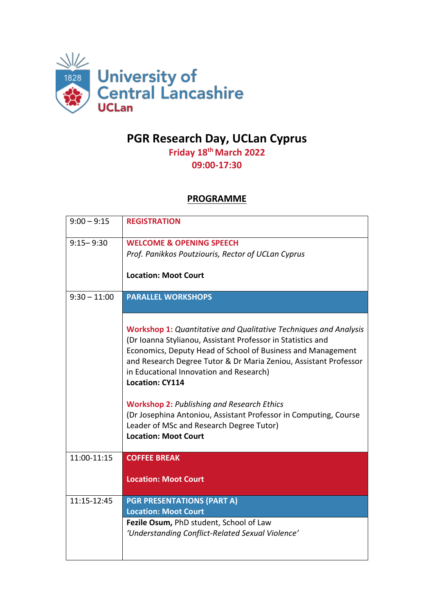

## **PGR Research Day, UCLan Cyprus**

**Friday 18th March 2022 09:00-17:30**

## **PROGRAMME**

| $9:00 - 9:15$  | <b>REGISTRATION</b>                                                                                                                                                                                                                                                                                                                                                                                                                                                                                                                                |
|----------------|----------------------------------------------------------------------------------------------------------------------------------------------------------------------------------------------------------------------------------------------------------------------------------------------------------------------------------------------------------------------------------------------------------------------------------------------------------------------------------------------------------------------------------------------------|
| $9:15 - 9:30$  | <b>WELCOME &amp; OPENING SPEECH</b><br>Prof. Panikkos Poutziouris, Rector of UCLan Cyprus<br><b>Location: Moot Court</b>                                                                                                                                                                                                                                                                                                                                                                                                                           |
| $9:30 - 11:00$ | <b>PARALLEL WORKSHOPS</b>                                                                                                                                                                                                                                                                                                                                                                                                                                                                                                                          |
|                | <b>Workshop 1:</b> Quantitative and Qualitative Techniques and Analysis<br>(Dr Ioanna Stylianou, Assistant Professor in Statistics and<br>Economics, Deputy Head of School of Business and Management<br>and Research Degree Tutor & Dr Maria Zeniou, Assistant Professor<br>in Educational Innovation and Research)<br><b>Location: CY114</b><br><b>Workshop 2: Publishing and Research Ethics</b><br>(Dr Josephina Antoniou, Assistant Professor in Computing, Course<br>Leader of MSc and Research Degree Tutor)<br><b>Location: Moot Court</b> |
| 11:00-11:15    | <b>COFFEE BREAK</b>                                                                                                                                                                                                                                                                                                                                                                                                                                                                                                                                |
|                | <b>Location: Moot Court</b>                                                                                                                                                                                                                                                                                                                                                                                                                                                                                                                        |
| 11:15-12:45    | <b>PGR PRESENTATIONS (PART A)</b><br><b>Location: Moot Court</b>                                                                                                                                                                                                                                                                                                                                                                                                                                                                                   |
|                | Fezile Osum, PhD student, School of Law<br>'Understanding Conflict-Related Sexual Violence'                                                                                                                                                                                                                                                                                                                                                                                                                                                        |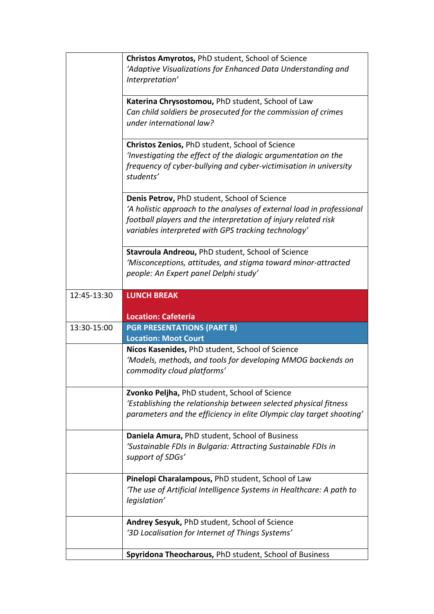|             | Christos Amyrotos, PhD student, School of Science<br>'Adaptive Visualizations for Enhanced Data Understanding and<br>Interpretation'                                                                                                           |
|-------------|------------------------------------------------------------------------------------------------------------------------------------------------------------------------------------------------------------------------------------------------|
|             | Katerina Chrysostomou, PhD student, School of Law<br>Can child soldiers be prosecuted for the commission of crimes<br>under international law?                                                                                                 |
|             | Christos Zenios, PhD student, School of Science<br>'Investigating the effect of the dialogic argumentation on the<br>frequency of cyber-bullying and cyber-victimisation in university<br>students'                                            |
|             | Denis Petrov, PhD student, School of Science<br>'A holistic approach to the analyses of external load in professional<br>football players and the interpretation of injury related risk<br>variables interpreted with GPS tracking technology' |
|             | <b>Stavroula Andreou, PhD student, School of Science</b><br>'Misconceptions, attitudes, and stigma toward minor-attracted<br>people: An Expert panel Delphi study'                                                                             |
| 12:45-13:30 | <b>LUNCH BREAK</b>                                                                                                                                                                                                                             |
|             |                                                                                                                                                                                                                                                |
| 13:30-15:00 | <b>Location: Cafeteria</b><br><b>PGR PRESENTATIONS (PART B)</b>                                                                                                                                                                                |
|             | <b>Location: Moot Court</b>                                                                                                                                                                                                                    |
|             | Nicos Kasenides, PhD student, School of Science<br>'Models, methods, and tools for developing MMOG backends on<br>commodity cloud platforms'                                                                                                   |
|             | Zvonko Peljha, PhD student, School of Science<br>'Establishing the relationship between selected physical fitness<br>parameters and the efficiency in elite Olympic clay target shooting'                                                      |
|             | Daniela Amura, PhD student, School of Business<br>'Sustainable FDIs in Bulgaria: Attracting Sustainable FDIs in<br>support of SDGs'                                                                                                            |
|             | Pinelopi Charalampous, PhD student, School of Law<br>'The use of Artificial Intelligence Systems in Healthcare: A path to<br>legislation'                                                                                                      |
|             | Andrey Sesyuk, PhD student, School of Science<br>'3D Localisation for Internet of Things Systems'                                                                                                                                              |